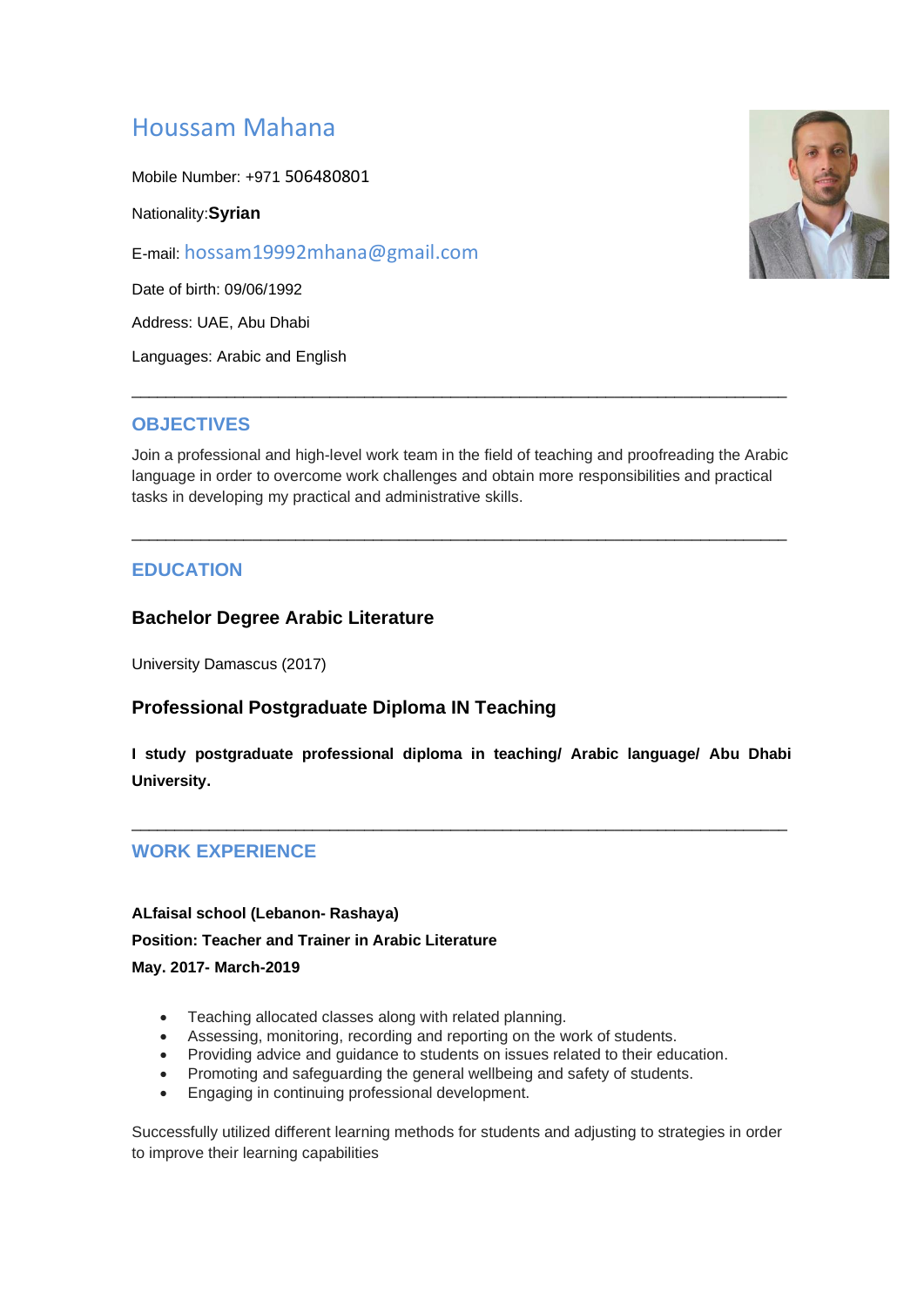# Houssam Mahana

Mobile Number: +971 506480801

Nationality:**Syrian**

E-mail: hossam19992mhana@gmail.com

Date of birth: 09/06/1992

Address: UAE, Abu Dhabi

Languages: Arabic and English

#### **OBJECTIVES**

Join a professional and high-level work team in the field of teaching and proofreading the Arabic language in order to overcome work challenges and obtain more responsibilities and practical tasks in developing my practical and administrative skills.

\_\_\_\_\_\_\_\_\_\_\_\_\_\_\_\_\_\_\_\_\_\_\_\_\_\_\_\_\_\_\_\_\_\_\_\_\_\_\_\_\_\_\_\_\_\_\_\_\_\_\_\_\_\_\_\_\_\_\_\_\_\_\_\_\_\_\_\_\_\_\_\_\_\_\_\_

\_\_\_\_\_\_\_\_\_\_\_\_\_\_\_\_\_\_\_\_\_\_\_\_\_\_\_\_\_\_\_\_\_\_\_\_\_\_\_\_\_\_\_\_\_\_\_\_\_\_\_\_\_\_\_\_\_\_\_\_\_\_\_\_\_\_\_\_\_\_\_\_\_\_\_\_

### **EDUCATION**

#### **Bachelor Degree Arabic Literature**

University Damascus (2017)

#### **Professional Postgraduate Diploma IN Teaching**

**I study postgraduate professional diploma in teaching/ Arabic language/ Abu Dhabi University.** 

\_\_\_\_\_\_\_\_\_\_\_\_\_\_\_\_\_\_\_\_\_\_\_\_\_\_\_\_\_\_\_\_\_\_\_\_\_\_\_\_\_\_\_\_\_\_\_\_\_\_\_\_\_\_\_\_\_\_\_\_\_\_\_\_\_\_\_\_\_\_\_\_\_\_\_\_

#### **WORK EXPERIENCE**

# **ALfaisal school (Lebanon- Rashaya) Position: Teacher and Trainer in Arabic Literature May. 2017- March-2019**

- Teaching allocated classes along with related planning.
- Assessing, monitoring, recording and reporting on the work of students.
- Providing advice and guidance to students on issues related to their education.
- Promoting and safeguarding the general wellbeing and safety of students.
- Engaging in continuing professional development.

Successfully utilized different learning methods for students and adjusting to strategies in order to improve their learning capabilities